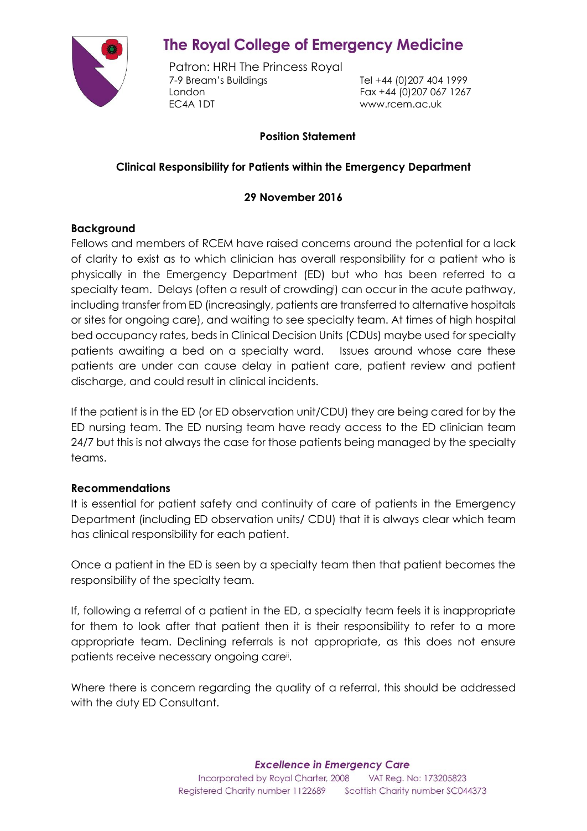

# **The Royal College of Emergency Medicine**

Patron: HRH The Princess Royal 7-9 Bream's Buildings Tel +44 (0)207 404 1999 London Fax +44 (0)207 067 1267 EC4A 1DT www.rcem.ac.uk

# **Position Statement**

# **Clinical Responsibility for Patients within the Emergency Department**

### **29 November 2016**

#### **Background**

Fellows and members of RCEM have raised concerns around the potential for a lack of clarity to exist as to which clinician has overall responsibility for a patient who is physically in the Emergency Department (ED) but who has been referred to a specialty team. Delays (often a result of crowdingi) can occur in the acute pathway, including transfer from ED (increasingly, patients are transferred to alternative hospitals or sites for ongoing care), and waiting to see specialty team. At times of high hospital bed occupancy rates, beds in Clinical Decision Units (CDUs) maybe used for specialty patients awaiting a bed on a specialty ward. Issues around whose care these patients are under can cause delay in patient care, patient review and patient discharge, and could result in clinical incidents.

If the patient is in the ED (or ED observation unit/CDU) they are being cared for by the ED nursing team. The ED nursing team have ready access to the ED clinician team 24/7 but this is not always the case for those patients being managed by the specialty teams.

#### **Recommendations**

It is essential for patient safety and continuity of care of patients in the Emergency Department (including ED observation units/ CDU) that it is always clear which team has clinical responsibility for each patient.

Once a patient in the ED is seen by a specialty team then that patient becomes the responsibility of the specialty team.

If, following a referral of a patient in the ED, a specialty team feels it is inappropriate for them to look after that patient then it is their responsibility to refer to a more appropriate team. Declining referrals is not appropriate, as this does not ensure patients receive necessary ongoing care<sup>ii</sup>.

Where there is concern regarding the quality of a referral, this should be addressed with the duty ED Consultant.